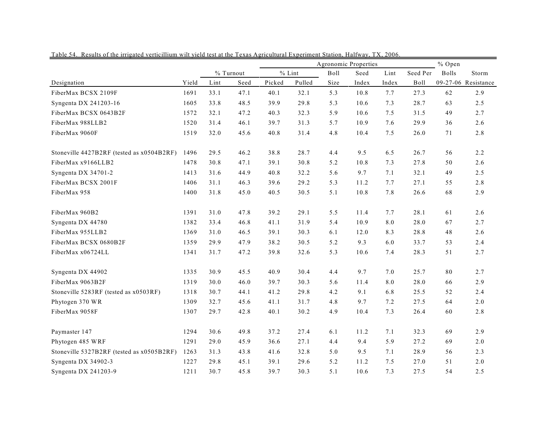|                                           | Agronomic Properties |      |           |        |          |      | % Open |       |          |              |                     |
|-------------------------------------------|----------------------|------|-----------|--------|----------|------|--------|-------|----------|--------------|---------------------|
|                                           |                      |      | % Turnout |        | $%$ Lint | Boll | Seed   | Lint  | Seed Per | <b>Bolls</b> | Storm               |
| Designation                               | Yield                | Lint | Seed      | Picked | Pulled   | Size | Index  | Index | Boll     |              | 09-27-06 Resistance |
| FiberMax BCSX 2109F                       | 1691                 | 33.1 | 47.1      | 40.1   | 32.1     | 5.3  | 10.8   | 7.7   | 27.3     | 62           | 2.9                 |
| Syngenta DX 241203-16                     | 1605                 | 33.8 | 48.5      | 39.9   | 29.8     | 5.3  | 10.6   | 7.3   | 28.7     | 63           | 2.5                 |
| FiberMax BCSX 0643B2F                     | 1572                 | 32.1 | 47.2      | 40.3   | 32.3     | 5.9  | 10.6   | 7.5   | 31.5     | 49           | 2.7                 |
| FiberMax 988LLB2                          | 1520                 | 31.4 | 46.1      | 39.7   | 31.3     | 5.7  | 10.9   | 7.6   | 29.9     | 36           | 2.6                 |
| FiberMax 9060F                            | 1519                 | 32.0 | 45.6      | 40.8   | 31.4     | 4.8  | 10.4   | 7.5   | 26.0     | 71           | 2.8                 |
| Stoneville 4427B2RF (tested as x0504B2RF) | 1496                 | 29.5 | 46.2      | 38.8   | 28.7     | 4.4  | 9.5    | 6.5   | 26.7     | 56           | 2.2                 |
| FiberMax x9166LLB2                        | 1478                 | 30.8 | 47.1      | 39.1   | 30.8     | 5.2  | 10.8   | 7.3   | 27.8     | 50           | 2.6                 |
| Syngenta DX 34701-2                       | 1413                 | 31.6 | 44.9      | 40.8   | 32.2     | 5.6  | 9.7    | 7.1   | 32.1     | 49           | 2.5                 |
| FiberMax BCSX 2001F                       | 1406                 | 31.1 | 46.3      | 39.6   | 29.2     | 5.3  | 11.2   | 7.7   | 27.1     | 55           | 2.8                 |
| FiberMax 958                              | 1400                 | 31.8 | 45.0      | 40.5   | 30.5     | 5.1  | 10.8   | 7.8   | 26.6     | 68           | 2.9                 |
| FiberMax 960B2                            | 1391                 | 31.0 | 47.8      | 39.2   | 29.1     | 5.5  | 11.4   | 7.7   | 28.1     | 61           | 2.6                 |
| Syngenta DX 44780                         | 1382                 | 33.4 | 46.8      | 41.1   | 31.9     | 5.4  | 10.9   | 8.0   | 28.0     | 67           | 2.7                 |
| FiberMax 955LLB2                          | 1369                 | 31.0 | 46.5      | 39.1   | 30.3     | 6.1  | 12.0   | 8.3   | 28.8     | 48           | 2.6                 |
| FiberMax BCSX 0680B2F                     | 1359                 | 29.9 | 47.9      | 38.2   | 30.5     | 5.2  | 9.3    | 6.0   | 33.7     | 53           | 2.4                 |
| FiberMax x06724LL                         | 1341                 | 31.7 | 47.2      | 39.8   | 32.6     | 5.3  | 10.6   | 7.4   | 28.3     | 51           | 2.7                 |
| Syngenta DX 44902                         | 1335                 | 30.9 | 45.5      | 40.9   | 30.4     | 4.4  | 9.7    | 7.0   | 25.7     | 80           | 2.7                 |
| FiberMax 9063B2F                          | 1319                 | 30.0 | 46.0      | 39.7   | 30.3     | 5.6  | 11.4   | 8.0   | 28.0     | 66           | 2.9                 |
| Stoneville 5283RF (tested as x0503RF)     | 1318                 | 30.7 | 44.1      | 41.2   | 29.8     | 4.2  | 9.1    | 6.8   | 25.5     | 52           | 2.4                 |
| Phytogen 370 WR                           | 1309                 | 32.7 | 45.6      | 41.1   | 31.7     | 4.8  | 9.7    | 7.2   | 27.5     | 64           | 2.0                 |
| FiberMax 9058F                            | 1307                 | 29.7 | 42.8      | 40.1   | 30.2     | 4.9  | 10.4   | 7.3   | 26.4     | 60           | 2.8                 |
| Paymaster 147                             | 1294                 | 30.6 | 49.8      | 37.2   | 27.4     | 6.1  | 11.2   | 7.1   | 32.3     | 69           | 2.9                 |
| Phytogen 485 WRF                          | 1291                 | 29.0 | 45.9      | 36.6   | 27.1     | 4.4  | 9.4    | 5.9   | 27.2     | 69           | $2.0\,$             |
| Stoneville 5327B2RF (tested as x0505B2RF) | 1263                 | 31.3 | 43.8      | 41.6   | 32.8     | 5.0  | 9.5    | 7.1   | 28.9     | 56           | 2.3                 |
| Syngenta DX 34902-3                       | 1227                 | 29.8 | 45.1      | 39.1   | 29.6     | 5.2  | 11.2   | 7.5   | 27.0     | 51           | $2.0\,$             |
| Syngenta DX 241203-9                      | 1211                 | 30.7 | 45.8      | 39.7   | 30.3     | 5.1  | 10.6   | 7.3   | 27.5     | 54           | 2.5                 |

Table 54. Results of the irrigated verticillium wilt yield test at the Texas Agricultural Experiment Station, Halfway, TX, 2006.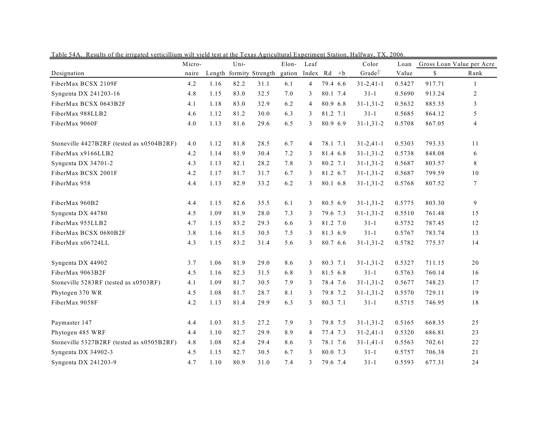| rable 54A. Results of the impated veniculium will vield test at the Texas Agricultural Experiment Station, Hanway, TA, 2000 | Micro- |      | Uni- |                         | Elon-  | Leaf           |          | Color               | Loan   |        | Gross Loan Value per Acre |
|-----------------------------------------------------------------------------------------------------------------------------|--------|------|------|-------------------------|--------|----------------|----------|---------------------|--------|--------|---------------------------|
| Designation                                                                                                                 | naire  |      |      | Length formity Strength | gation | Index Rd +b    |          | Grade $\frac{1}{2}$ | Value  | \$     | Rank                      |
| FiberMax BCSX 2109F                                                                                                         | 4.2    | 1.16 | 82.2 | 31.1                    | 6.1    | 4              | 79.4 6.6 | $31 - 2,41 - 1$     | 0.5427 | 917.71 | $\mathbf{1}$              |
| Syngenta DX 241203-16                                                                                                       | 4.8    | 1.15 | 83.0 | 32.5                    | 7.0    | 3              | 80.1 7.4 | $31-1$              | 0.5690 | 913.24 | 2                         |
| FiberMax BCSX 0643B2F                                                                                                       | 4.1    | 1.18 | 83.0 | 32.9                    | 6.2    | $\overline{4}$ | 80.9 6.8 | $31 - 1, 31 - 2$    | 0.5632 | 885.35 | 3                         |
| FiberMax 988LLB2                                                                                                            | 4.6    | 1.12 | 81.2 | 30.0                    | 6.3    | 3              | 81.2 7.1 | $31-1$              | 0.5685 | 864.12 | 5                         |
| FiberMax 9060F                                                                                                              | 4.0    | 1.13 | 81.6 | 29.6                    | 6.5    | 3              | 80.9 6.9 | $31 - 1, 31 - 2$    | 0.5708 | 867.05 | 4                         |
| Stoneville 4427B2RF (tested as x0504B2RF)                                                                                   | 4.0    | 1.12 | 81.8 | 28.5                    | 6.7    | 4              | 78.1 7.1 | $31 - 2,41 - 1$     | 0.5303 | 793.33 | 11                        |
| FiberMax x9166LLB2                                                                                                          | 4.2    | 1.14 | 81.9 | 30.4                    | 7.2    | 3              | 81.4 6.8 | $31 - 1, 31 - 2$    | 0.5738 | 848.08 | 6                         |
| Syngenta DX 34701-2                                                                                                         | 4.3    | 1.13 | 82.1 | 28.2                    | 7.8    | 3              | 80.2 7.1 | $31 - 1, 31 - 2$    | 0.5687 | 803.57 | 8                         |
| FiberMax BCSX 2001F                                                                                                         | 4.2    | 1.17 | 81.7 | 31.7                    | 6.7    | 3              | 81.2 6.7 | $31 - 1, 31 - 2$    | 0.5687 | 799.59 | 10                        |
| FiberMax 958                                                                                                                | 4.4    | 1.13 | 82.9 | 33.2                    | 6.2    | 3              | 80.1 6.8 | $31 - 1, 31 - 2$    | 0.5768 | 807.52 | 7                         |
| FiberMax 960B2                                                                                                              | 4.4    | 1.15 | 82.6 | 35.5                    | 6.1    | 3              | 80.5 6.9 | $31 - 1, 31 - 2$    | 0.5775 | 803.30 | 9                         |
| Syngenta DX 44780                                                                                                           | 4.5    | 1.09 | 81.9 | 28.0                    | 7.3    | 3              | 79.6 7.3 | $31 - 1, 31 - 2$    | 0.5510 | 761.48 | 15                        |
| FiberMax 955LLB2                                                                                                            | 4.7    | 1.15 | 83.2 | 29.3                    | 6.6    | 3              | 81.2 7.0 | $31-1$              | 0.5752 | 787.45 | 12                        |
| FiberMax BCSX 0680B2F                                                                                                       | 3.8    | 1.16 | 81.5 | 30.5                    | 7.5    | 3              | 81.3 6.9 | $31-1$              | 0.5767 | 783.74 | 13                        |
| FiberMax x06724LL                                                                                                           | 4.3    | 1.15 | 83.2 | 31.4                    | 5.6    | 3              | 80.7 6.6 | $31 - 1, 31 - 2$    | 0.5782 | 775.37 | 14                        |
| Syngenta DX 44902                                                                                                           | 3.7    | 1.06 | 81.9 | 29.0                    | 8.6    | 3              | 80.3 7.1 | $31 - 1, 31 - 2$    | 0.5327 | 711.15 | 20                        |
| FiberMax 9063B2F                                                                                                            | 4.5    | 1.16 | 82.3 | 31.5                    | 6.8    | 3              | 81.5 6.8 | $31-1$              | 0.5763 | 760.14 | 16                        |
| Stoneville 5283RF (tested as x0503RF)                                                                                       | 4.1    | 1.09 | 81.7 | 30.5                    | 7.9    | 3              | 78.4 7.6 | $31 - 1, 31 - 2$    | 0.5677 | 748.23 | 17                        |
| Phytogen 370 WR                                                                                                             | 4.5    | 1.08 | 81.7 | 28.7                    | 8.1    | 3              | 79.8 7.2 | $31 - 1, 31 - 2$    | 0.5570 | 729.11 | 19                        |
| FiberMax 9058F                                                                                                              | 4.2    | 1.13 | 81.4 | 29.9                    | 6.3    | 3              | 80.3 7.1 | $31-1$              | 0.5715 | 746.95 | 18                        |
| Paymaster 147                                                                                                               | 4.4    | 1.03 | 81.5 | 27.2                    | 7.9    | 3              | 79.8 7.5 | $31 - 1, 31 - 2$    | 0.5165 | 668.35 | 25                        |
| Phytogen 485 WRF                                                                                                            | 4.4    | 1.10 | 82.7 | 29.9                    | 8.9    | $\overline{4}$ | 77.4 7.3 | $31 - 2,41 - 1$     | 0.5320 | 686.81 | 23                        |
| Stoneville 5327B2RF (tested as x0505B2RF)                                                                                   | 4.8    | 1.08 | 82.4 | 29.4                    | 8.6    | 3              | 78.1 7.6 | $31 - 1, 41 - 1$    | 0.5563 | 702.61 | 22                        |
| Syngenta DX 34902-3                                                                                                         | 4.5    | 1.15 | 82.7 | 30.5                    | 6.7    | 3              | 80.0 7.3 | $31-1$              | 0.5757 | 706.38 | 21                        |
| Syngenta DX 241203-9                                                                                                        | 4.7    | 1.10 | 80.9 | 31.0                    | 7.4    | 3              | 79.6 7.4 | $31 - 1$            | 0.5593 | 677.31 | 24                        |

Table 54A. Results of the irrigated verticillium wilt yield test at the Texas Agricultural Experiment Station, Halfway, TX, 2006.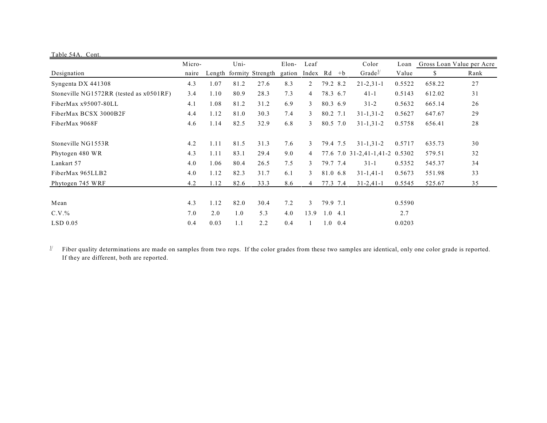| Table 54A. Cont.                        |        |      |      |                         |        |          |          |                 |                                |        |        |                           |
|-----------------------------------------|--------|------|------|-------------------------|--------|----------|----------|-----------------|--------------------------------|--------|--------|---------------------------|
|                                         | Micro- |      | Uni- |                         | Elon-  | Leaf     |          |                 | Color                          | Loan   |        | Gross Loan Value per Acre |
| Designation                             | naire  |      |      | Length formity Strength | gation | Index Rd |          | $+{\bf b}$      | Grade <sup>1/</sup>            | Value  | \$     | Rank                      |
| Syngenta DX 441308                      | 4.3    | 1.07 | 81.2 | 27.6                    | 8.3    | 2        | 79.2 8.2 |                 | $21 - 2, 31 - 1$               | 0.5522 | 658.22 | 27                        |
| Stoneville NG1572RR (tested as x0501RF) | 3.4    | 1.10 | 80.9 | 28.3                    | 7.3    | 4        | 78.3 6.7 |                 | $41 - 1$                       | 0.5143 | 612.02 | 31                        |
| FiberMax x95007-80LL                    | 4.1    | 1.08 | 81.2 | 31.2                    | 6.9    | 3        | 80.3 6.9 |                 | $31 - 2$                       | 0.5632 | 665.14 | 26                        |
| FiberMax BCSX 3000B2F                   | 4.4    | 1.12 | 81.0 | 30.3                    | 7.4    | 3        | 80.2 7.1 |                 | $31 - 1, 31 - 2$               | 0.5627 | 647.67 | 29                        |
| FiberMax 9068F                          | 4.6    | 1.14 | 82.5 | 32.9                    | 6.8    | 3        | 80.5 7.0 |                 | $31 - 1, 31 - 2$               | 0.5758 | 656.41 | 28                        |
| Stoneville NG1553R                      | 4.2    | 1.11 | 81.5 | 31.3                    | 7.6    | 3        | 79.4 7.5 |                 | $31 - 1, 31 - 2$               | 0.5717 | 635.73 | 30                        |
| Phytogen 480 WR                         | 4.3    | 1.11 | 83.1 | 29.4                    | 9.0    | 4        |          |                 | 77.6 7.0 31-2,41-1,41-2 0.5302 |        | 579.51 | 32                        |
| Lankart 57                              | 4.0    | 1.06 | 80.4 | 26.5                    | 7.5    | 3        | 79.7 7.4 |                 | $31 - 1$                       | 0.5352 | 545.37 | 34                        |
| FiberMax 965LLB2                        | 4.0    | 1.12 | 82.3 | 31.7                    | 6.1    | 3        | 81.0 6.8 |                 | $31 - 1, 41 - 1$               | 0.5673 | 551.98 | 33                        |
| Phytogen 745 WRF                        | 4.2    | 1.12 | 82.6 | 33.3                    | 8.6    | 4        | 77.3 7.4 |                 | $31 - 2,41 - 1$                | 0.5545 | 525.67 | 35                        |
| Mean                                    | 4.3    | 1.12 | 82.0 | 30.4                    | 7.2    | 3        | 79.9 7.1 |                 |                                | 0.5590 |        |                           |
| $C.V.$ %                                | 7.0    | 2.0  | 1.0  | 5.3                     | 4.0    | 13.9     | 1.04.1   |                 |                                | 2.7    |        |                           |
| $LSD$ 0.05                              | 0.4    | 0.03 | 1.1  | 2.2                     | 0.4    |          |          | $1.0 \quad 0.4$ |                                | 0.0203 |        |                           |

 $\frac{1}{2}$  Fiber quality determinations are made on samples from two reps. If the color grades from these two samples are identical, only one color grade is reported. If they are different, both are reported.